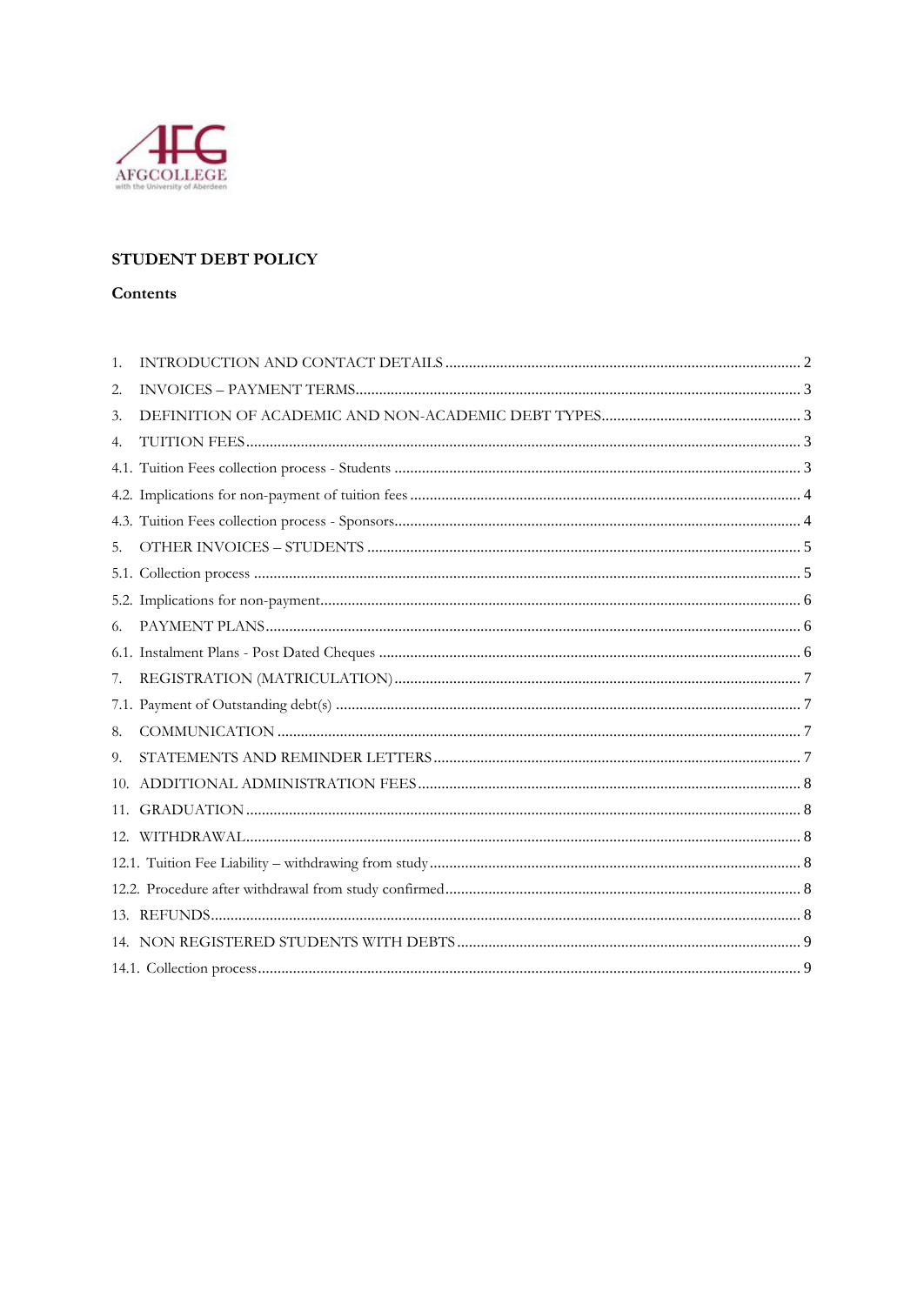

# STUDENT DEBT POLICY

#### Contents

| 1. |  |
|----|--|
| 2. |  |
| 3. |  |
| 4. |  |
|    |  |
|    |  |
|    |  |
| 5. |  |
|    |  |
|    |  |
| 6. |  |
|    |  |
| 7. |  |
|    |  |
| 8. |  |
| 9. |  |
|    |  |
|    |  |
|    |  |
|    |  |
|    |  |
|    |  |
|    |  |
|    |  |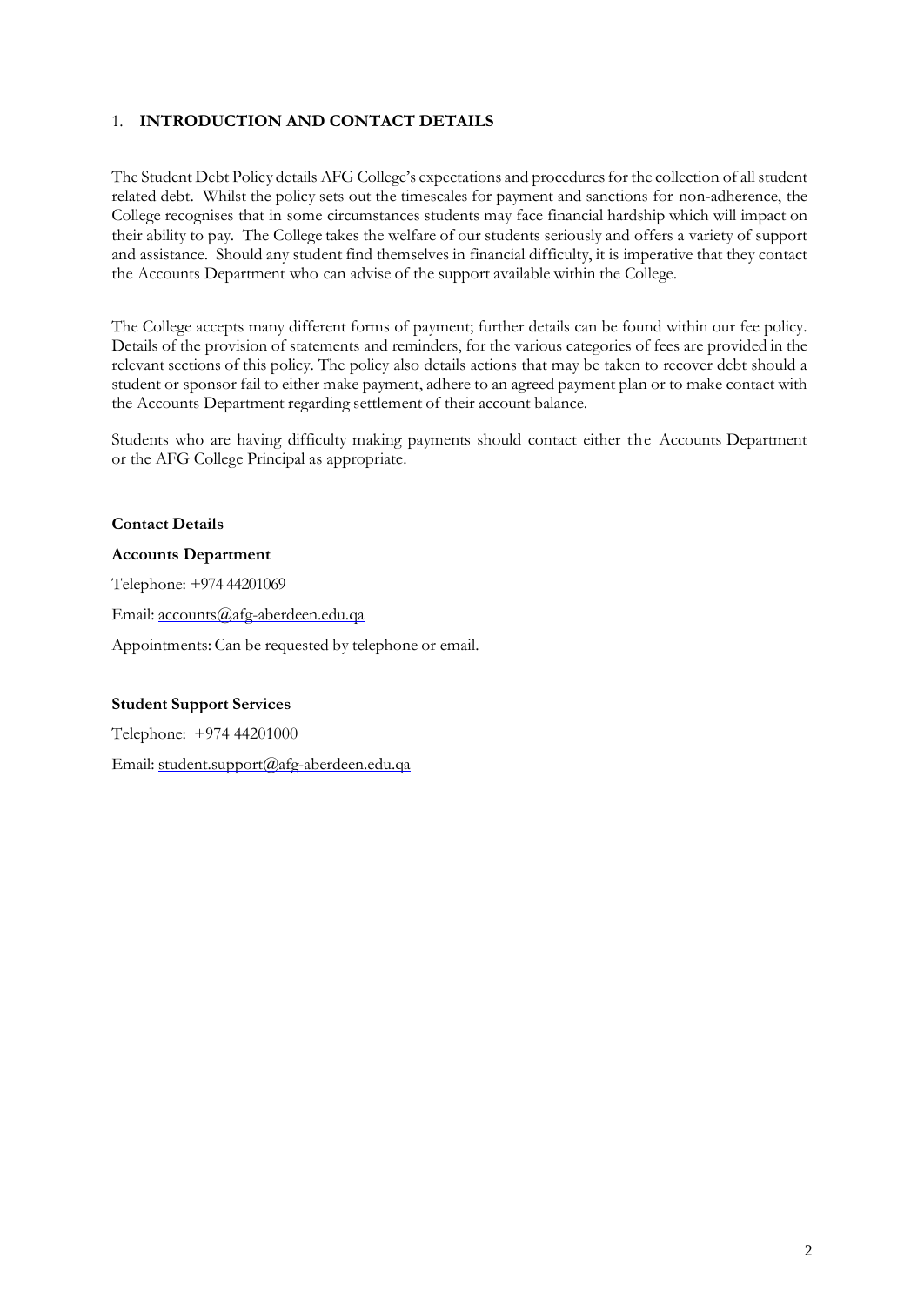# <span id="page-1-0"></span>1. **INTRODUCTION AND CONTACT DETAILS**

The Student Debt Policy details AFG College's expectations and procedures for the collection of all student related debt. Whilst the policy sets out the timescales for payment and sanctions for non-adherence, the College recognises that in some circumstances students may face financial hardship which will impact on their ability to pay. The College takes the welfare of our students seriously and offers a variety of support and assistance. Should any student find themselves in financial difficulty, it is imperative that they contact the Accounts Department who can advise of the support available within the College.

The College accepts many different forms of payment; further details can be found within our fee policy. Details of the provision of statements and reminders, for the various categories of fees are provided in the relevant sections of this policy. The policy also details actions that may be taken to recover debt should a student or sponsor fail to either make payment, adhere to an agreed payment plan or to make contact with the Accounts Department regarding settlement of their account balance.

Students who are having difficulty making payments should contact either the Accounts Department or the AFG College Principal as appropriate.

#### **Contact Details**

#### **Accounts Department**

Telephone: +974 44201069

Email: [accounts@a](mailto:accounts@)fg-aberdeen.edu.qa

Appointments: Can be requested by telephone or email.

#### **Student Support Services**

Telephone: +974 44201000

Email: [student.support@a](mailto:student.support@abdn.ac.uk)fg-aberdeen.edu.qa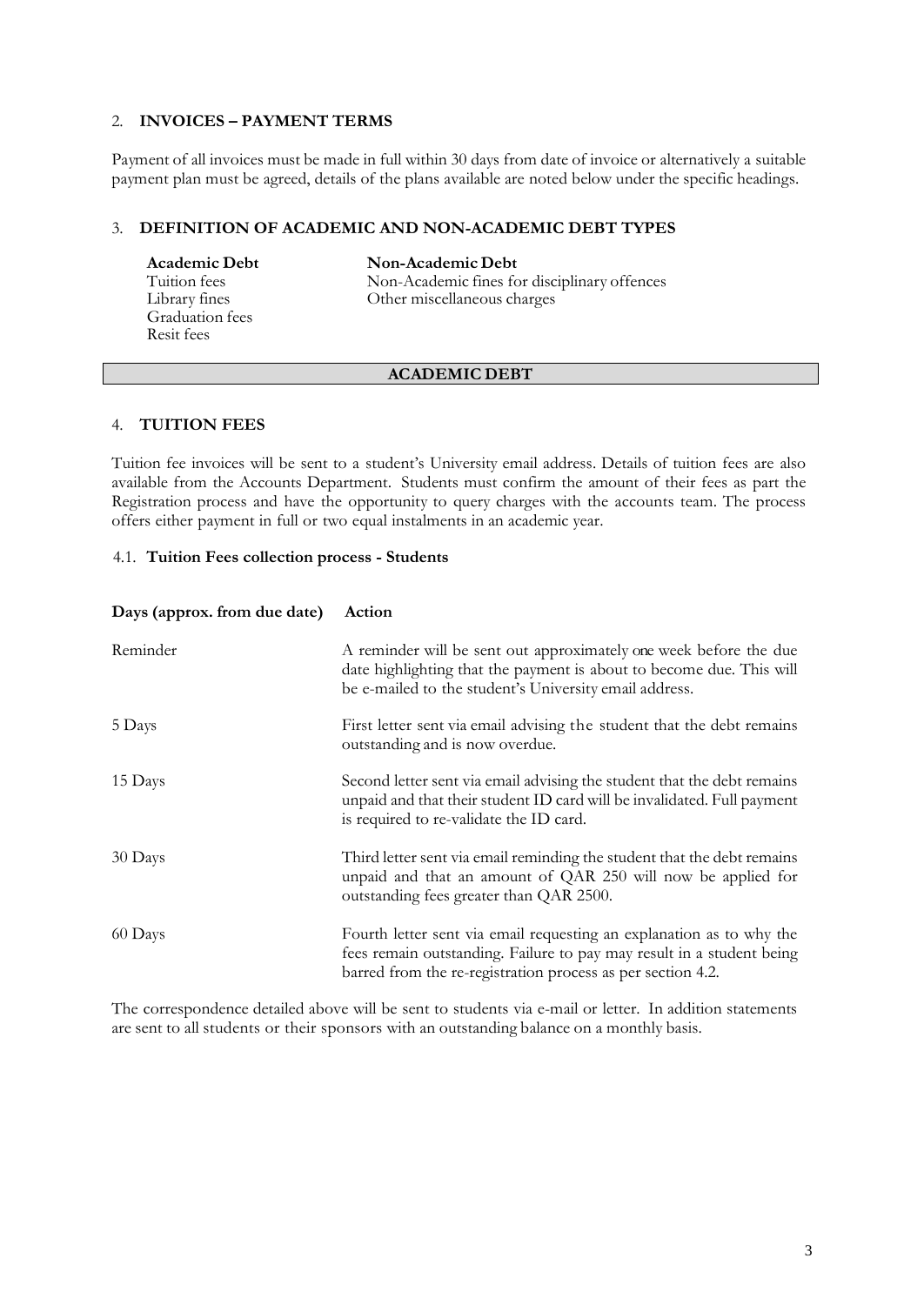## <span id="page-2-0"></span>2. **INVOICES – PAYMENT TERMS**

Payment of all invoices must be made in full within 30 days from date of invoice or alternatively a suitable payment plan must be agreed, details of the plans available are noted below under the specific headings.

#### <span id="page-2-1"></span>3. **DEFINITION OF ACADEMIC AND NON-ACADEMIC DEBT TYPES**

Graduation fees Resit fees

**Academic Debt**<br> **Non-Academic Debt**<br> **Non-Academic fines fo** Tuition fees Non-Academic fines for disciplinary offences<br>Library fines Other miscellaneous charges Other miscellaneous charges

#### **ACADEMIC DEBT**

#### <span id="page-2-2"></span>4. **TUITION FEES**

Tuition fee invoices will be sent to a student's University email address. Details of tuition fees are also available from the Accounts Department. Students must confirm the amount of their fees as part the Registration process and have the opportunity to query charges with the accounts team. The process offers either payment in full or two equal instalments in an academic year.

#### <span id="page-2-3"></span>4.1. **Tuition Fees collection process - Students**

| Days (approx. from due date) | Action                                                                                                                                                                                                       |
|------------------------------|--------------------------------------------------------------------------------------------------------------------------------------------------------------------------------------------------------------|
| Reminder                     | A reminder will be sent out approximately one week before the due<br>date highlighting that the payment is about to become due. This will<br>be e-mailed to the student's University email address.          |
| 5 Days                       | First letter sent via email advising the student that the debt remains<br>outstanding and is now overdue.                                                                                                    |
| 15 Days                      | Second letter sent via email advising the student that the debt remains<br>unpaid and that their student ID card will be invalidated. Full payment<br>is required to re-validate the ID card.                |
| 30 Days                      | Third letter sent via email reminding the student that the debt remains<br>unpaid and that an amount of QAR 250 will now be applied for<br>outstanding fees greater than QAR 2500.                           |
| 60 Days                      | Fourth letter sent via email requesting an explanation as to why the<br>fees remain outstanding. Failure to pay may result in a student being<br>barred from the re-registration process as per section 4.2. |

The correspondence detailed above will be sent to students via e-mail or letter. In addition statements are sent to all students or their sponsors with an outstanding balance on a monthly basis.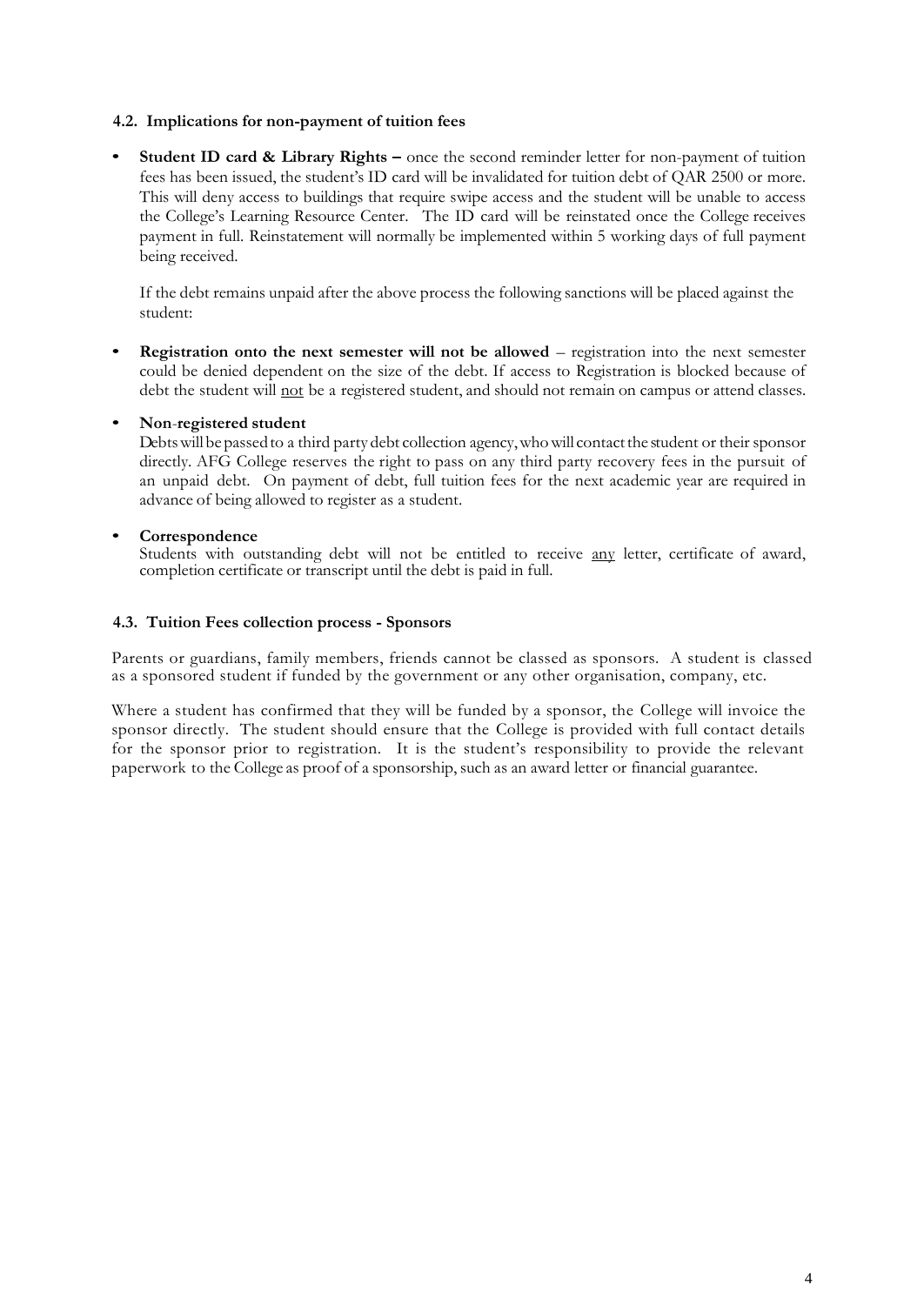### <span id="page-3-0"></span>**4.2. Implications for non-payment of tuition fees**

• **Student ID card & Library Rights –** once the second reminder letter for non-payment of tuition fees has been issued, the student's ID card will be invalidated for tuition debt of QAR 2500 or more. This will deny access to buildings that require swipe access and the student will be unable to access the College's Learning Resource Center. The ID card will be reinstated once the College receives payment in full. Reinstatement will normally be implemented within 5 working days of full payment being received.

If the debt remains unpaid after the above process the following sanctions will be placed against the student:

• **Registration onto the next semester will not be allowed** – registration into the next semester could be denied dependent on the size of the debt. If access to Registration is blocked because of debt the student will not be a registered student, and should not remain on campus or attend classes.

#### • **Non**-**registered student**

Debts will be passed to a third party debt collection agency, who will contact the student or their sponsor directly. AFG College reserves the right to pass on any third party recovery fees in the pursuit of an unpaid debt. On payment of debt, full tuition fees for the next academic year are required in advance of being allowed to register as a student.

## • **Correspondence**

Students with outstanding debt will not be entitled to receive any letter, certificate of award, completion certificate or transcript until the debt is paid in full.

#### <span id="page-3-1"></span>**4.3. Tuition Fees collection process - Sponsors**

Parents or guardians, family members, friends cannot be classed as sponsors. A student is classed as a sponsored student if funded by the government or any other organisation, company, etc.

Where a student has confirmed that they will be funded by a sponsor, the College will invoice the sponsor directly. The student should ensure that the College is provided with full contact details for the sponsor prior to registration. It is the student's responsibility to provide the relevant paperwork to the College as proof of a sponsorship, such as an award letter or financial guarantee.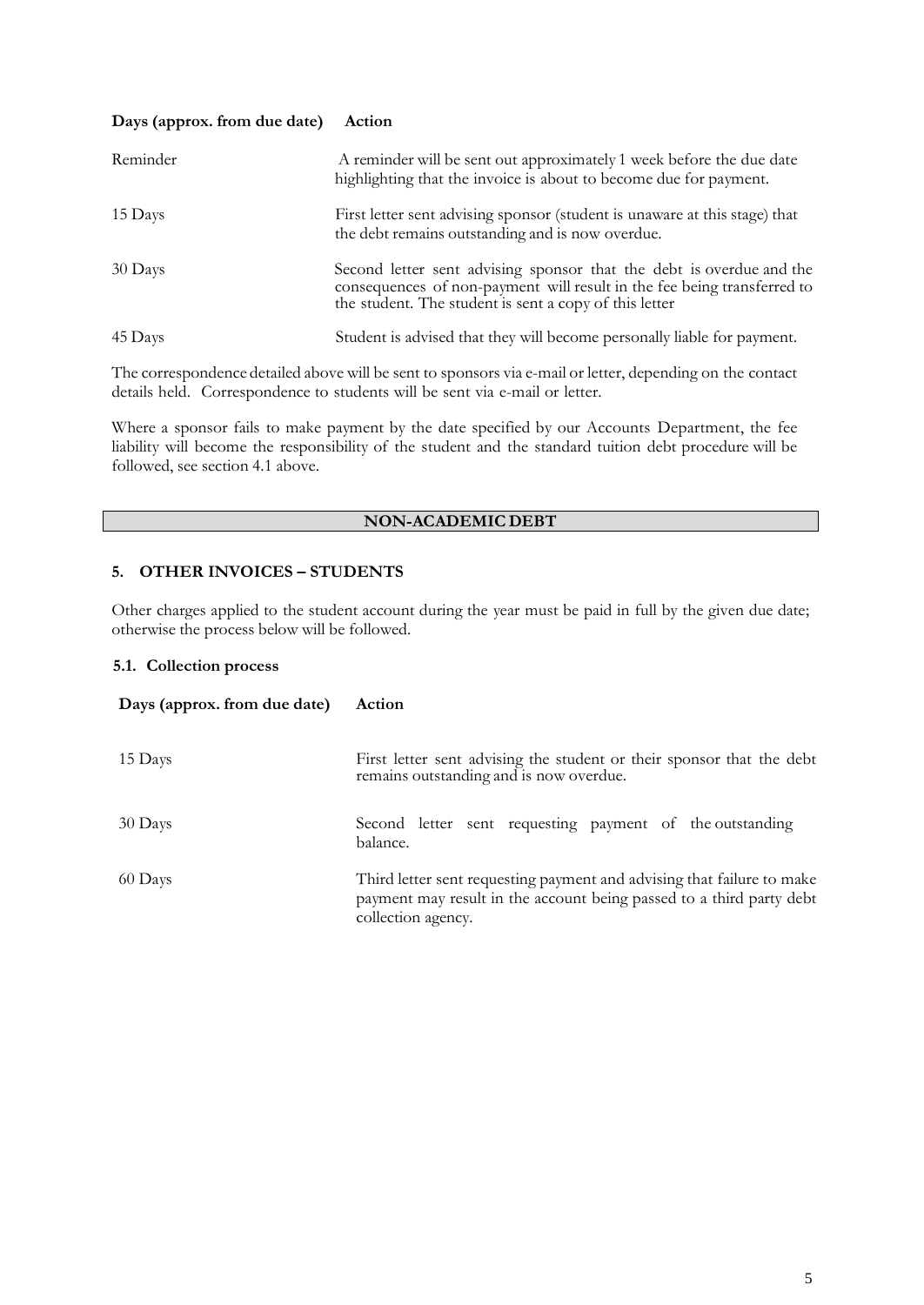#### **Days (approx. from due date) Action**

| Reminder | A reminder will be sent out approximately 1 week before the due date<br>highlighting that the invoice is about to become due for payment.                                                                 |
|----------|-----------------------------------------------------------------------------------------------------------------------------------------------------------------------------------------------------------|
| 15 Days  | First letter sent advising sponsor (student is unaware at this stage) that<br>the debt remains outstanding and is now overdue.                                                                            |
| 30 Days  | Second letter sent advising sponsor that the debt is overdue and the<br>consequences of non-payment will result in the fee being transferred to<br>the student. The student is sent a copy of this letter |
| 45 Days  | Student is advised that they will become personally liable for payment.                                                                                                                                   |

The correspondence detailed above will be sent to sponsors via e-mail or letter, depending on the contact details held. Correspondence to students will be sent via e-mail or letter.

Where a sponsor fails to make payment by the date specified by our Accounts Department, the fee liability will become the responsibility of the student and the standard tuition debt procedure will be followed, see section 4.1 above.

# **NON-ACADEMIC DEBT**

## <span id="page-4-0"></span>**5. OTHER INVOICES – STUDENTS**

Other charges applied to the student account during the year must be paid in full by the given due date; otherwise the process below will be followed.

## <span id="page-4-1"></span>**5.1. Collection process**

| Days (approx. from due date) | Action                                                                                                                                                               |  |
|------------------------------|----------------------------------------------------------------------------------------------------------------------------------------------------------------------|--|
| 15 Days                      | First letter sent advising the student or their sponsor that the debt<br>remains outstanding and is now overdue.                                                     |  |
| 30 Days                      | Second letter sent requesting payment of the outstanding<br>balance.                                                                                                 |  |
| 60 Days                      | Third letter sent requesting payment and advising that failure to make<br>payment may result in the account being passed to a third party debt<br>collection agency. |  |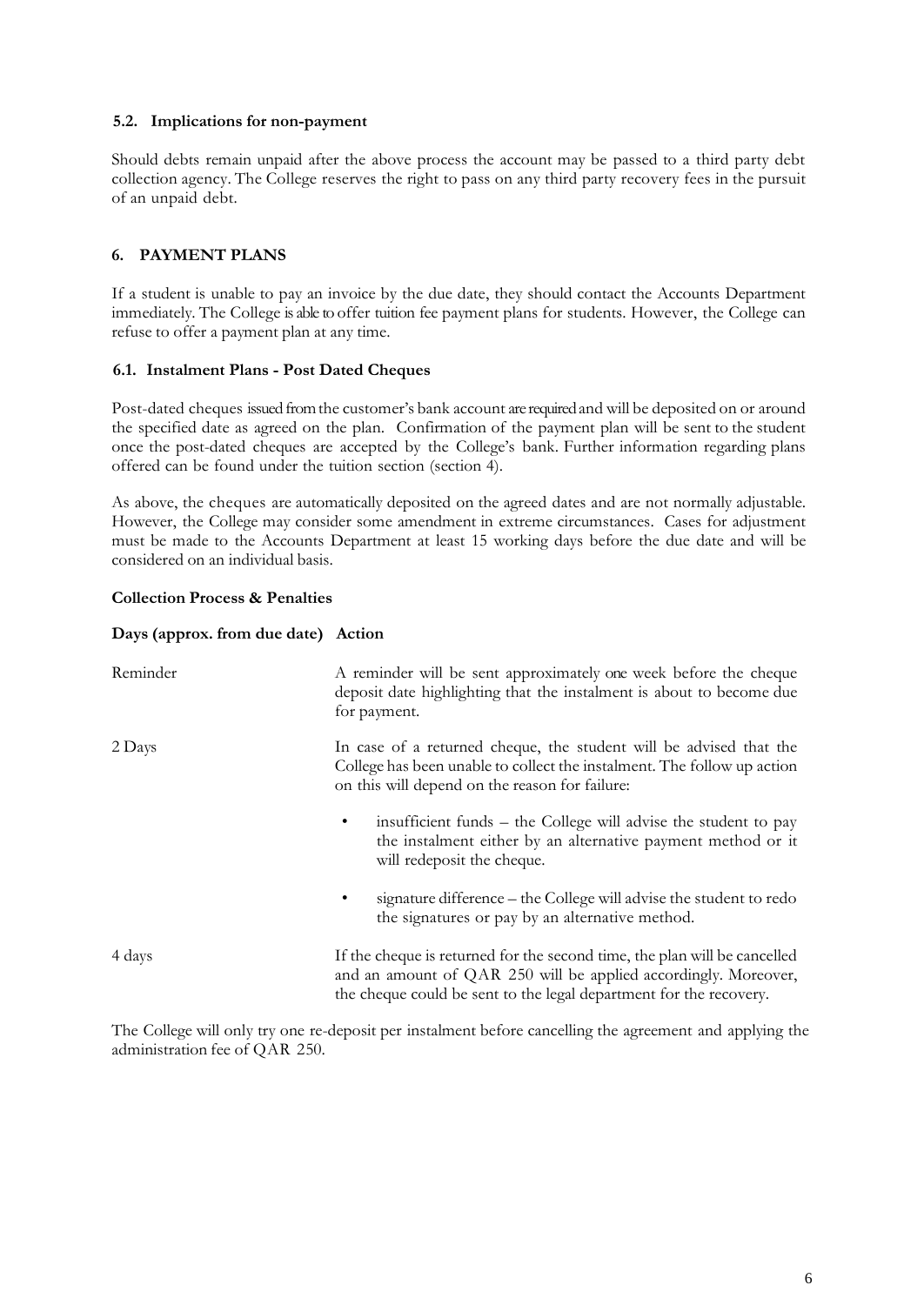### <span id="page-5-0"></span>**5.2. Implications for non-payment**

Should debts remain unpaid after the above process the account may be passed to a third party debt collection agency. The College reserves the right to pass on any third party recovery fees in the pursuit of an unpaid debt.

## <span id="page-5-1"></span>**6. PAYMENT PLANS**

If a student is unable to pay an invoice by the due date, they should contact the Accounts Department immediately. The College is able to offer tuition fee payment plans for students. However, the College can refuse to offer a payment plan at any time.

#### <span id="page-5-2"></span>**6.1. Instalment Plans - Post Dated Cheques**

Post-dated cheques issued from the customer's bank account are required and will be deposited on or around the specified date as agreed on the plan. Confirmation of the payment plan will be sent to the student once the post-dated cheques are accepted by the College's bank. Further information regarding plans offered can be found under the tuition section (section 4).

As above, the cheques are automatically deposited on the agreed dates and are not normally adjustable. However, the College may consider some amendment in extreme circumstances. Cases for adjustment must be made to the Accounts Department at least 15 working days before the due date and will be considered on an individual basis.

#### **Collection Process & Penalties**

#### **Days (approx. from due date) Action**

| Reminder | A reminder will be sent approximately one week before the cheque<br>deposit date highlighting that the instalment is about to become due<br>for payment.                                                           |
|----------|--------------------------------------------------------------------------------------------------------------------------------------------------------------------------------------------------------------------|
| 2 Days   | In case of a returned cheque, the student will be advised that the<br>College has been unable to collect the instalment. The follow up action<br>on this will depend on the reason for failure:                    |
|          | insufficient funds – the College will advise the student to pay<br>$\bullet$<br>the instalment either by an alternative payment method or it<br>will redeposit the cheque.                                         |
|          | signature difference - the College will advise the student to redo<br>the signatures or pay by an alternative method.                                                                                              |
| 4 days   | If the cheque is returned for the second time, the plan will be cancelled<br>and an amount of QAR 250 will be applied accordingly. Moreover,<br>the cheque could be sent to the legal department for the recovery. |

The College will only try one re-deposit per instalment before cancelling the agreement and applying the administration fee of QAR 250.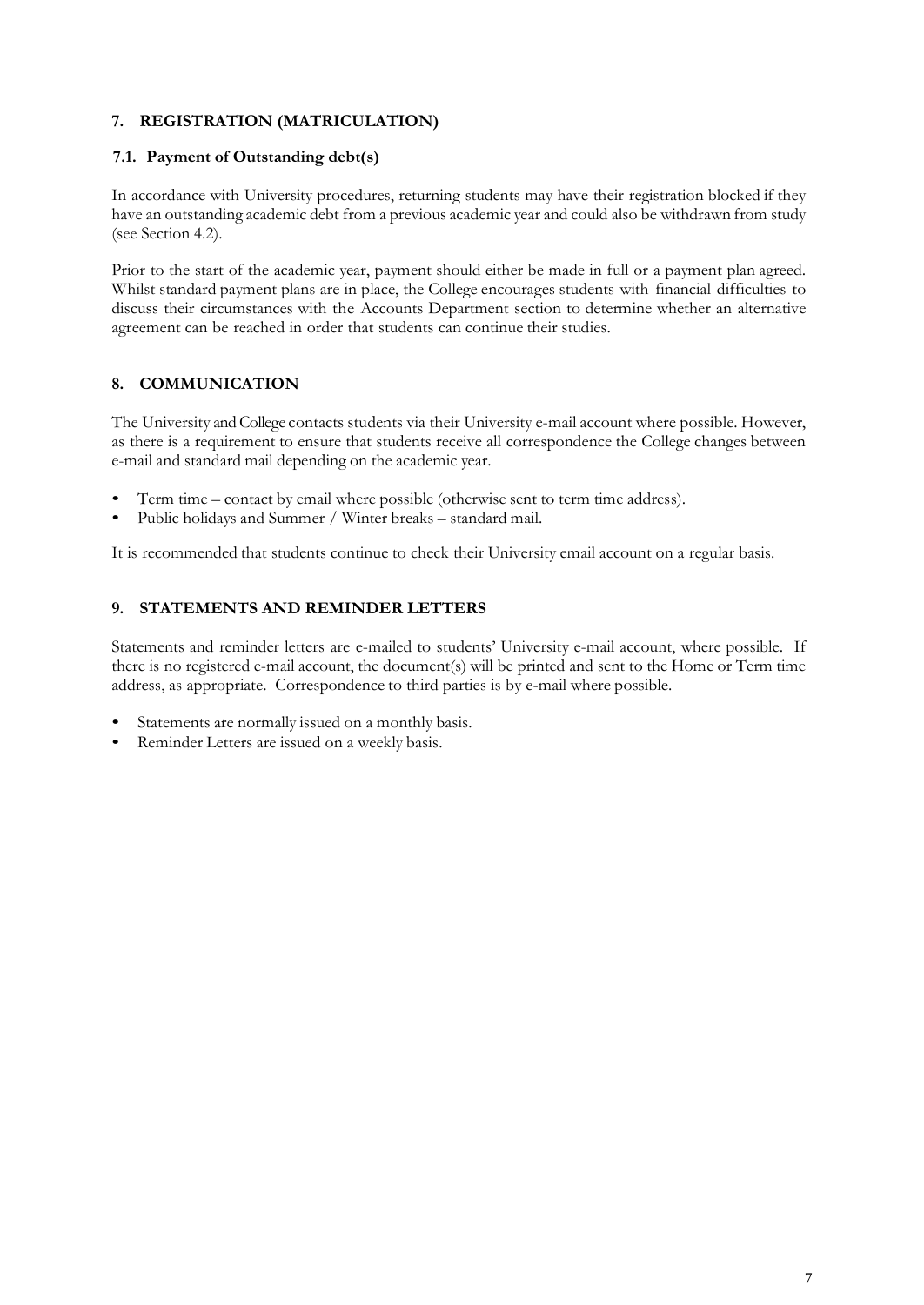# <span id="page-6-0"></span>**7. REGISTRATION (MATRICULATION)**

## <span id="page-6-1"></span>**7.1. Payment of Outstanding debt(s)**

In accordance with University procedures, returning students may have their registration blocked if they have an outstanding academic debt from a previous academic year and could also be withdrawn from study (see Section 4.2).

Prior to the start of the academic year, payment should either be made in full or a payment plan agreed. Whilst standard payment plans are in place, the College encourages students with financial difficulties to discuss their circumstances with the Accounts Department section to determine whether an alternative agreement can be reached in order that students can continue their studies.

# <span id="page-6-2"></span>**8. COMMUNICATION**

The University and College contacts students via their University e-mail account where possible. However, as there is a requirement to ensure that students receive all correspondence the College changes between e-mail and standard mail depending on the academic year.

- Term time contact by email where possible (otherwise sent to term time address).
- Public holidays and Summer / Winter breaks standard mail.

It is recommended that students continue to check their University email account on a regular basis.

## <span id="page-6-3"></span>**9. STATEMENTS AND REMINDER LETTERS**

Statements and reminder letters are e-mailed to students' University e-mail account, where possible. If there is no registered e-mail account, the document(s) will be printed and sent to the Home or Term time address, as appropriate. Correspondence to third parties is by e-mail where possible.

- Statements are normally issued on a monthly basis.
- Reminder Letters are issued on a weekly basis.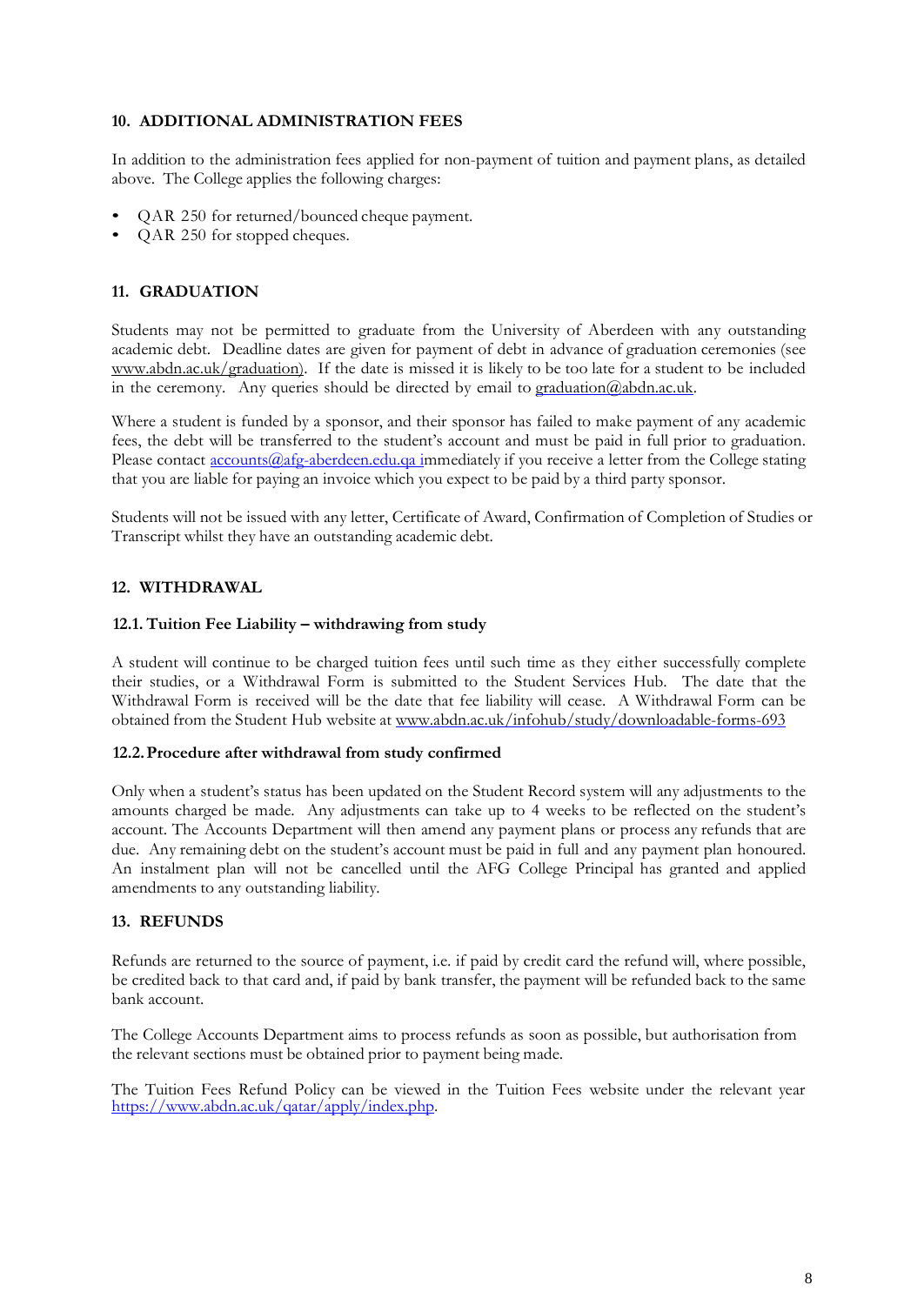### <span id="page-7-0"></span>**10. ADDITIONAL ADMINISTRATION FEES**

In addition to the administration fees applied for non-payment of tuition and payment plans, as detailed above. The College applies the following charges:

- QAR 250 for returned/bounced cheque payment.
- QAR 250 for stopped cheques.

#### <span id="page-7-1"></span>**11. GRADUATION**

Students may not be permitted to graduate from the University of Aberdeen with any outstanding academic debt. Deadline dates are given for payment of debt in advance of graduation ceremonies (see [www.abdn.ac.uk/graduation\).](http://www.abdn.ac.uk/graduation)) If the date is missed it is likely to be too late for a student to be included in the ceremony. Any queries should be directed by email to [graduation@abdn.ac.uk.](mailto:graduation@abdn.ac.uk)

Where a student is funded by a sponsor, and their sponsor has failed to make payment of any academic fees, the debt will be transferred to the student's account and must be paid in full prior to graduation. Please contact **accounts** @afg-aberdeen.edu.qa immediately if you receive a letter from the College stating that you are liable for paying an invoice which you expect to be paid by a third party sponsor.

Students will not be issued with any letter, Certificate of Award, Confirmation of Completion of Studies or Transcript whilst they have an outstanding academic debt.

## <span id="page-7-2"></span>**12. WITHDRAWAL**

#### <span id="page-7-3"></span>**12.1. Tuition Fee Liability – withdrawing from study**

A student will continue to be charged tuition fees until such time as they either successfully complete their studies, or a Withdrawal Form is submitted to the Student Services Hub. The date that the Withdrawal Form is received will be the date that fee liability will cease. A Withdrawal Form can be obtained from the Student Hub website at [www.abdn.ac.uk/infohub/study/downloadable-forms-693](http://www.abdn.ac.uk/infohub/study/downloadable-forms-693)

#### <span id="page-7-4"></span>**12.2.Procedure after withdrawal from study confirmed**

Only when a student's status has been updated on the Student Record system will any adjustments to the amounts charged be made. Any adjustments can take up to 4 weeks to be reflected on the student's account. The Accounts Department will then amend any payment plans or process any refunds that are due. Any remaining debt on the student's account must be paid in full and any payment plan honoured. An instalment plan will not be cancelled until the AFG College Principal has granted and applied amendments to any outstanding liability.

#### <span id="page-7-5"></span>**13. REFUNDS**

Refunds are returned to the source of payment, i.e. if paid by credit card the refund will, where possible, be credited back to that card and, if paid by bank transfer, the payment will be refunded back to the same bank account.

The College Accounts Department aims to process refunds as soon as possible, but authorisation from the relevant sections must be obtained prior to payment being made.

The Tuition Fees Refund Policy can be viewed in the Tuition Fees website under the relevant year [https://www.abdn.ac.uk/qatar/apply/index.php.](https://www.abdn.ac.uk/qatar/apply/index.php)